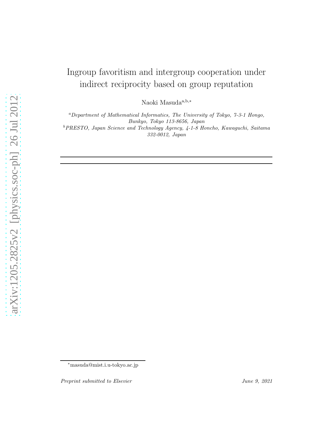# Ingroup favoritism and intergroup cooperation under indirect reciprocity based on group reputation

Naoki Masuda<sup>a,b,∗</sup>

<sup>a</sup>Department of Mathematical Informatics, The University of Tokyo, 7-3-1 Hongo, Bunkyo, Tokyo 113-8656, Japan <sup>b</sup>PRESTO, Japan Science and Technology Agency, 4-1-8 Honcho, Kawaguchi, Saitama 332-0012, Japan

<sup>∗</sup>masuda@mist.i.u-tokyo.ac.jp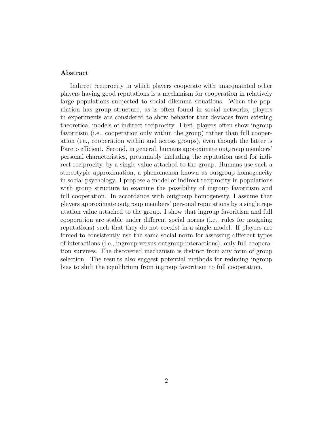# Abstract

Indirect reciprocity in which players cooperate with unacquainted other players having good reputations is a mechanism for cooperation in relatively large populations subjected to social dilemma situations. When the population has group structure, as is often found in social networks, players in experiments are considered to show behavior that deviates from existing theoretical models of indirect reciprocity. First, players often show ingroup favoritism (i.e., cooperation only within the group) rather than full cooperation (i.e., cooperation within and across groups), even though the latter is Pareto efficient. Second, in general, humans approximate outgroup members' personal characteristics, presumably including the reputation used for indirect reciprocity, by a single value attached to the group. Humans use such a stereotypic approximation, a phenomenon known as outgroup homogeneity in social psychology. I propose a model of indirect reciprocity in populations with group structure to examine the possibility of ingroup favoritism and full cooperation. In accordance with outgroup homogeneity, I assume that players approximate outgroup members' personal reputations by a single reputation value attached to the group. I show that ingroup favoritism and full cooperation are stable under different social norms (i.e., rules for assigning reputations) such that they do not coexist in a single model. If players are forced to consistently use the same social norm for assessing different types of interactions (i.e., ingroup versus outgroup interactions), only full cooperation survives. The discovered mechanism is distinct from any form of group selection. The results also suggest potential methods for reducing ingroup bias to shift the equilibrium from ingroup favoritism to full cooperation.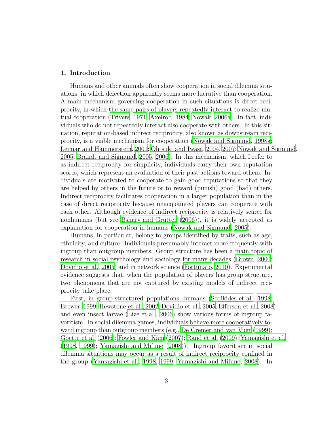## <span id="page-2-0"></span>1. Introduction

Humans and other animals often show cooperation in social dilemma situations, in which defection apparently seems more lucrative than cooperation. A main mechanism governing cooperation in such situations is direct reciprocity, in which the same pairs of players repeatedly interact to realize mutual cooperation [\(Trivers, 1971](#page-28-0); [Axelrod](#page-25-0), [1984;](#page-25-0) [Nowak, 2006a\)](#page-27-0). In fact, individuals who do not repeatedly interact also cooperate with others. In this situation, reputation-based indirect reciprocity, also known as downstream reciprocity, is a viable mechanism for cooperation [\(Nowak and Sigmund, 1998a](#page-27-1); [Leimar and Hammerstein](#page-27-2), [2001;](#page-27-2) [Ohtsuki and Iwasa](#page-27-3), [2004,](#page-27-3) [2007;](#page-27-4) [Nowak and Sigmund](#page-27-5), [2005](#page-27-5); [Brandt and Sigmund](#page-25-1), [2005,](#page-25-1) [2006\)](#page-25-2). In this mechanism, which I refer to as indirect reciprocity for simplicity, individuals carry their own reputation scores, which represent an evaluation of their past actions toward others. Individuals are motivated to cooperate to gain good reputations so that they are helped by others in the future or to reward (punish) good (bad) others. Indirect reciprocity facilitates cooperation in a larger population than in the case of direct reciprocity because unacquainted players can cooperate with each other. Although evidence of indirect reciprocity is relatively scarce for nonhumans (but see [Bshary and Grutter \(2006](#page-26-0))), it is widely accepted as explanation for cooperation in humans [\(Nowak and Sigmund](#page-27-5), [2005\)](#page-27-5).

Humans, in particular, belong to groups identified by traits, such as age, ethnicity, and culture. Individuals presumably interact more frequently with ingroup than outgroup members. Group structure has been a main topic of research in social psychology and sociology for many decades [\(Brown](#page-25-3), [2000](#page-25-3); [Dovidio et al.](#page-26-1), [2005\)](#page-26-1) and in network science [\(Fortunato, 2010\)](#page-26-2). Experimental evidence suggests that, when the population of players has group structure, two phenomena that are not captured by existing models of indirect reciprocity take place.

First, in group-structured populations, humans [\(Sedikides et al.](#page-28-1), [1998](#page-28-1); [Brewer, 1999](#page-25-4); [Hewstone et al.](#page-26-3), [2002](#page-26-3); [Dovidio et al., 2005;](#page-26-1) [Efferson et al.](#page-26-4), [2008](#page-26-4)) and even insect larvae [\(Lize et al.](#page-27-6), [2006\)](#page-27-6) show various forms of ingroup favoritism. In social dilemma games, individuals behave more cooperatively toward ingroup than outgroup members (e.g., [De Cremer and van Vugt](#page-26-5) [\(1999\)](#page-26-5); [Goette et al. \(2006](#page-26-6)); [Fowler and Kam \(2007](#page-26-7)); [Rand et al. \(2009\)](#page-28-2); [Yamagishi et al.](#page-29-0) [\(1998,](#page-29-0) [1999\)](#page-29-1); [Yamagishi and Mifune \(2008\)](#page-29-2)). Ingroup favoritism in social dilemma situations may occur as a result of indirect reciprocity confined in the group [\(Yamagishi et al., 1998](#page-29-0), [1999](#page-29-1); [Yamagishi and Mifune](#page-29-2), [2008](#page-29-2)). In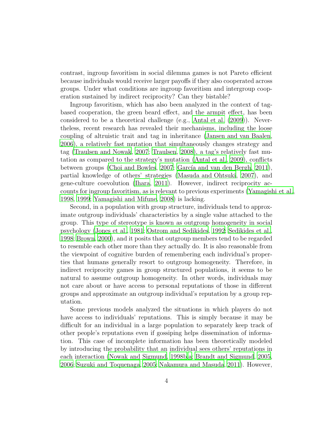contrast, ingroup favoritism in social dilemma games is not Pareto efficient because individuals would receive larger payoffs if they also cooperated across groups. Under what conditions are ingroup favoritism and intergroup cooperation sustained by indirect reciprocity? Can they bistable?

Ingroup favoritism, which has also been analyzed in the context of tagbased cooperation, the green beard effect, and the armpit effect, has been considered to be a theoretical challenge (e.g., [Antal et al. \(2009](#page-25-5))). Nevertheless, recent research has revealed their mechanisms, including the loose coupling of altruistic trait and tag in inheritance [\(Jansen and van Baalen](#page-26-8), [2006](#page-26-8)), a relatively fast mutation that simultaneously changes strategy and tag [\(Traulsen and Nowak](#page-28-3), [2007](#page-28-3); [Traulsen](#page-28-4), [2008\)](#page-28-4), a tag's relatively fast mutation as compared to the strategy's mutation [\(Antal et al.](#page-25-5), [2009\)](#page-25-5), conflicts between groups [\(Choi and Bowles](#page-26-9), [2007;](#page-26-9) García and van den Bergh, [2011\)](#page-26-10), partial knowledge of others' strategies [\(Masuda and Ohtsuki, 2007\)](#page-27-7), and gene-culture coevolution [\(Ihara, 2011\)](#page-26-11). However, indirect reciprocity accounts for ingroup favoritism, as is relevant to previous experiments [\(Yamagishi et al.](#page-29-0), [1998](#page-29-0), [1999;](#page-29-1) [Yamagishi and Mifune](#page-29-2), [2008\)](#page-29-2) is lacking.

Second, in a population with group structure, individuals tend to approximate outgroup individuals' characteristics by a single value attached to the group. This type of stereotype is known as outgroup homogeneity in social psychology [\(Jones et al., 1981;](#page-26-12) [Ostrom and Sedikides](#page-28-5), [1992](#page-28-5); [Sedikides et al.](#page-28-1), [1998](#page-28-1); [Brown, 2000](#page-25-3)), and it posits that outgroup members tend to be regarded to resemble each other more than they actually do. It is also reasonable from the viewpoint of cognitive burden of remembering each individual's properties that humans generally resort to outgroup homogeneity. Therefore, in indirect reciprocity games in group structured populations, it seems to be natural to assume outgroup homogeneity. In other words, individuals may not care about or have access to personal reputations of those in different groups and approximate an outgroup individual's reputation by a group reputation.

Some previous models analyzed the situations in which players do not have access to individuals' reputations. This is simply because it may be difficult for an individual in a large population to separately keep track of other people's reputations even if gossiping helps dissemination of information. This case of incomplete information has been theoretically modeled by introducing the probability that an individual sees others' reputations in each interaction [\(Nowak and Sigmund, 1998b](#page-27-8)[,a;](#page-27-1) [Brandt and Sigmund, 2005](#page-25-1), [2006](#page-25-2); [Suzuki and Toquenaga, 2005;](#page-28-6) [Nakamura and Masuda, 2011](#page-27-9)). However,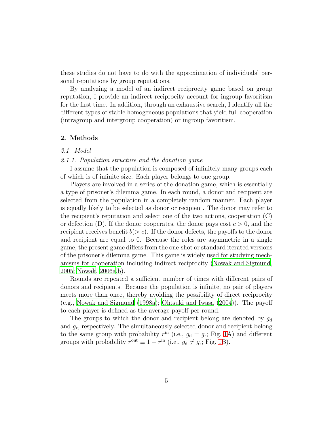these studies do not have to do with the approximation of individuals' personal reputations by group reputations.

By analyzing a model of an indirect reciprocity game based on group reputation, I provide an indirect reciprocity account for ingroup favoritism for the first time. In addition, through an exhaustive search, I identify all the different types of stable homogeneous populations that yield full cooperation (intragroup and intergroup cooperation) or ingroup favoritism.

# 2. Methods

#### 2.1. Model

#### 2.1.1. Population structure and the donation game

I assume that the population is composed of infinitely many groups each of which is of infinite size. Each player belongs to one group.

Players are involved in a series of the donation game, which is essentially a type of prisoner's dilemma game. In each round, a donor and recipient are selected from the population in a completely random manner. Each player is equally likely to be selected as donor or recipient. The donor may refer to the recipient's reputation and select one of the two actions, cooperation (C) or defection (D). If the donor cooperates, the donor pays cost  $c > 0$ , and the recipient receives benefit  $b(> c)$ . If the donor defects, the payoffs to the donor and recipient are equal to 0. Because the roles are asymmetric in a single game, the present game differs from the one-shot or standard iterated versions of the prisoner's dilemma game. This game is widely used for studying mechanisms for cooperation including indirect reciprocity [\(Nowak and Sigmund](#page-27-5), [2005](#page-27-5); [Nowak, 2006a](#page-27-0)[,b\)](#page-27-10).

Rounds are repeated a sufficient number of times with different pairs of donors and recipients. Because the population is infinite, no pair of players meets more than once, thereby avoiding the possibility of direct reciprocity (e.g., [Nowak and Sigmund \(1998a\)](#page-27-1); [Ohtsuki and Iwasa \(2004](#page-27-3))). The payoff to each player is defined as the average payoff per round.

The groups to which the donor and recipient belong are denoted by  $g_d$ and  $g_r$ , respectively. The simultaneously selected donor and recipient belong to the same group with probability  $r^{\text{in}}$  (i.e.,  $g_d = g_r$ ; Fig. [1A](#page-30-0)) and different groups with probability  $r^{\text{out}} \equiv 1 - r^{\text{in}}$  (i.e.,  $g_d \neq g_r$ ; Fig. [1B](#page-30-0)).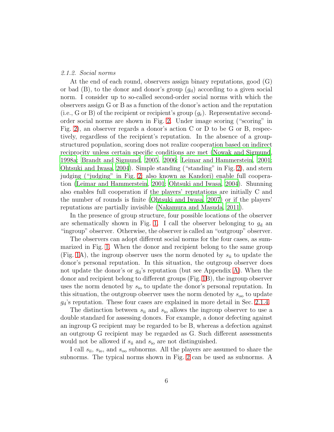#### 2.1.2. Social norms

At the end of each round, observers assign binary reputations, good (G) or bad  $(B)$ , to the donor and donor's group  $(g_d)$  according to a given social norm. I consider up to so-called second-order social norms with which the observers assign G or B as a function of the donor's action and the reputation (i.e., G or B) of the recipient or recipient's group  $(g_r)$ . Representative secondorder social norms are shown in Fig. [2.](#page-31-0) Under image scoring ("scoring" in Fig. [2\)](#page-31-0), an observer regards a donor's action C or D to be G or B, respectively, regardless of the recipient's reputation. In the absence of a groupstructured population, scoring does not realize cooperation based on indirect reciprocity unless certain specific conditions are met [\(Nowak and Sigmund](#page-27-1), [1998a](#page-27-1); [Brandt and Sigmund](#page-25-1), [2005](#page-25-1), [2006](#page-25-2); [Leimar and Hammerstein](#page-27-2), [2001](#page-27-2); [Ohtsuki and Iwasa, 2004\)](#page-27-3). Simple standing ("standing" in Fig. [2\)](#page-31-0), and stern judging ("judging" in Fig. [2;](#page-31-0) also known as Kandori) enable full cooperation [\(Leimar and Hammerstein](#page-27-2), [2001;](#page-27-2) [Ohtsuki and Iwasa](#page-27-3), [2004\)](#page-27-3). Shunning also enables full cooperation if the players' reputations are initially C and the number of rounds is finite [\(Ohtsuki and Iwasa](#page-27-4), [2007\)](#page-27-4) or if the players' reputations are partially invisible [\(Nakamura and Masuda](#page-27-9), [2011](#page-27-9)).

In the presence of group structure, four possible locations of the observer are schematically shown in Fig. [1.](#page-30-0) I call the observer belonging to  $g_d$  and "ingroup" observer. Otherwise, the observer is called an "outgroup" observer.

The observers can adopt different social norms for the four cases, as summarized in Fig. [1.](#page-30-0) When the donor and recipient belong to the same group (Fig. [1A](#page-30-0)), the ingroup observer uses the norm denoted by  $s_{ii}$  to update the donor's personal reputation. In this situation, the outgroup observer does not update the donor's or  $g_d$ 's reputation (but see Appendix [A\)](#page-23-0). When the donor and recipient belong to different groups (Fig. [1B](#page-30-0)), the ingroup observer uses the norm denoted by  $s_{\rm io}$  to update the donor's personal reputation. In this situation, the outgroup observer uses the norm denoted by  $s_{oo}$  to update  $g_d$ 's reputation. These four cases are explained in more detail in Sec. [2.1.4.](#page-6-0)

The distinction between  $s_{ii}$  and  $s_{io}$  allows the ingroup observer to use a double standard for assessing donors. For example, a donor defecting against an ingroup G recipient may be regarded to be B, whereas a defection against an outgroup G recipient may be regarded as G. Such different assessments would not be allowed if  $s_{ii}$  and  $s_{io}$  are not distinguished.

I call  $s_{ii}$ ,  $s_{io}$ , and  $s_{oo}$  subnorms. All the players are assumed to share the subnorms. The typical norms shown in Fig. [2](#page-31-0) can be used as subnorms. A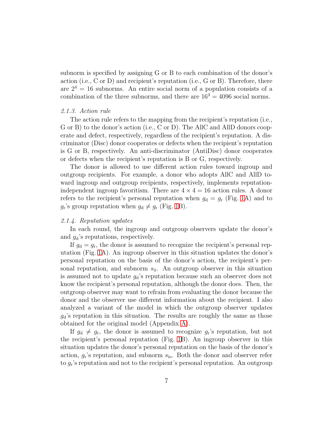subnorm is specified by assigning G or B to each combination of the donor's action (i.e., C or D) and recipient's reputation (i.e., G or B). Therefore, there are  $2^4 = 16$  subnorms. An entire social norm of a population consists of a combination of the three subnorms, and there are  $16<sup>3</sup> = 4096$  social norms.

#### 2.1.3. Action rule

The action rule refers to the mapping from the recipient's reputation (i.e., G or B) to the donor's action (i.e., C or D). The AllC and AllD donors cooperate and defect, respectively, regardless of the recipient's reputation. A discriminator (Disc) donor cooperates or defects when the recipient's reputation is G or B, respectively. An anti-discriminator (AntiDisc) donor cooperates or defects when the recipient's reputation is B or G, respectively.

The donor is allowed to use different action rules toward ingroup and outgroup recipients. For example, a donor who adopts AllC and AllD toward ingroup and outgroup recipients, respectively, implements reputationindependent ingroup favoritism. There are  $4 \times 4 = 16$  action rules. A donor refers to the recipient's personal reputation when  $g_d = g_r$  (Fig. [1A](#page-30-0)) and to  $g_{\rm r}$ 's group reputation when  $g_{\rm d} \neq g_{\rm r}$  (Fig. [1B](#page-30-0)).

# <span id="page-6-0"></span>2.1.4. Reputation updates

In each round, the ingroup and outgroup observers update the donor's and  $q_d$ 's reputations, respectively.

If  $g_d = g_r$ , the donor is assumed to recognize the recipient's personal reputation (Fig. [1A](#page-30-0)). An ingroup observer in this situation updates the donor's personal reputation on the basis of the donor's action, the recipient's personal reputation, and subnorm  $s_{ii}$ . An outgroup observer in this situation is assumed not to update  $g_d$ 's reputation because such an observer does not know the recipient's personal reputation, although the donor does. Then, the outgroup observer may want to refrain from evaluating the donor because the donor and the observer use different information about the recipient. I also analyzed a variant of the model in which the outgroup observer updates  $g_d$ 's reputation in this situation. The results are roughly the same as those obtained for the original model (Appendix [A\)](#page-23-0).

If  $g_d \neq g_r$ , the donor is assumed to recognize  $g_r$ 's reputation, but not the recipient's personal reputation (Fig. [1B](#page-30-0)). An ingroup observer in this situation updates the donor's personal reputation on the basis of the donor's action,  $g_r$ 's reputation, and subnorm  $s_{\rm io}$ . Both the donor and observer refer to g<sup>r</sup> 's reputation and not to the recipient's personal reputation. An outgroup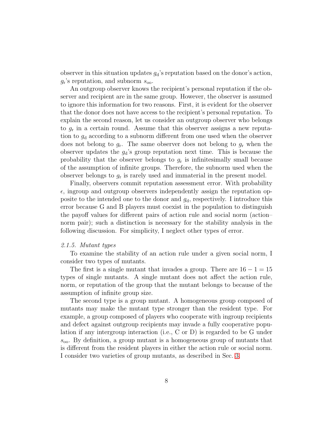observer in this situation updates  $g_d$ 's reputation based on the donor's action,  $g_{\rm r}$ 's reputation, and subnorm  $s_{\rm oo}$ .

An outgroup observer knows the recipient's personal reputation if the observer and recipient are in the same group. However, the observer is assumed to ignore this information for two reasons. First, it is evident for the observer that the donor does not have access to the recipient's personal reputation. To explain the second reason, let us consider an outgroup observer who belongs to  $g_r$  in a certain round. Assume that this observer assigns a new reputation to  $g_d$  according to a subnorm different from one used when the observer does not belong to  $g_r$ . The same observer does not belong to  $g_r$  when the observer updates the  $g_d$ 's group reputation next time. This is because the probability that the observer belongs to  $g_r$  is infinitesimally small because of the assumption of infinite groups. Therefore, the subnorm used when the observer belongs to  $g_r$  is rarely used and immaterial in the present model.

Finally, observers commit reputation assessment error. With probability  $\epsilon$ , ingroup and outgroup observers independently assign the reputation opposite to the intended one to the donor and  $g_d$ , respectively. I introduce this error because G and B players must coexist in the population to distinguish the payoff values for different pairs of action rule and social norm (action– norm pair); such a distinction is necessary for the stability analysis in the following discussion. For simplicity, I neglect other types of error.

#### 2.1.5. Mutant types

To examine the stability of an action rule under a given social norm, I consider two types of mutants.

The first is a single mutant that invades a group. There are  $16 - 1 = 15$ types of single mutants. A single mutant does not affect the action rule, norm, or reputation of the group that the mutant belongs to because of the assumption of infinite group size.

The second type is a group mutant. A homogeneous group composed of mutants may make the mutant type stronger than the resident type. For example, a group composed of players who cooperate with ingroup recipients and defect against outgroup recipients may invade a fully cooperative population if any intergroup interaction (i.e., C or D) is regarded to be G under  $s_{oo}$ . By definition, a group mutant is a homogeneous group of mutants that is different from the resident players in either the action rule or social norm. I consider two varieties of group mutants, as described in Sec. [3.](#page-10-0)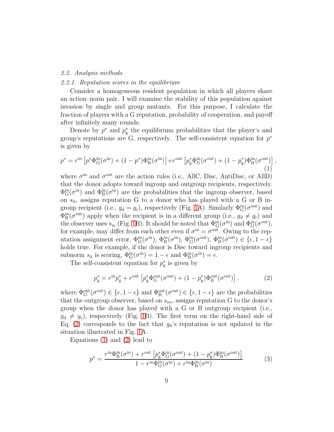#### <span id="page-8-2"></span>2.2. Analysis methods

#### 2.2.1. Reputation scores in the equilibrium

Consider a homogeneous resident population in which all players share an action–norm pair. I will examine the stability of this population against invasion by single and group mutants. For this purpose, I calculate the fraction of players with a G reputation, probability of cooperation, and payoff after infinitely many rounds.

Denote by  $p^*$  and  $p^*_{\mathbf{g}}$ g the equilibrium probabilities that the player's and group's reputations are  $G$ , respectively. The self-consistent equation for  $p^*$ is given by

<span id="page-8-1"></span>
$$
p^* = r^{\text{in}} \left[ p^* \Phi_G^{\text{in}}(\sigma^{\text{in}}) + (1 - p^*) \Phi_B^{\text{in}}(\sigma^{\text{in}}) \right] + r^{\text{out}} \left[ p_{\text{g}}^* \Phi_G^{\text{in}}(\sigma^{\text{out}}) + (1 - p_{\text{g}}^*) \Phi_B^{\text{in}}(\sigma^{\text{out}}) \right] \tag{1}
$$

,

where  $\sigma^{\text{in}}$  and  $\sigma^{\text{out}}$  are the action rules (i.e., AllC, Disc, AntiDisc, or AllD) that the donor adopts toward ingroup and outgroup recipients, respectively.  $\Phi_{\rm G}^{\rm in}(\sigma^{\rm in})$  and  $\Phi_{\rm B}^{\rm in}(\sigma^{\rm in})$  are the probabilities that the ingroup observer, based on  $s_{ii}$ , assigns reputation G to a donor who has played with a G or B ingroup recipient (i.e.,  $g_d = g_r$ ), respectively (Fig. [1A](#page-30-0)). Similarly  $\Phi_G^{\text{in}}(\sigma^{\text{out}})$  and  $\Phi_B^{\text{in}}(\sigma^{\text{out}})$  apply when the recipient is in a different group (i.e.,  $g_d \neq g_r$ ) and the observer uses  $s_{\rm io}$  (Fig. [1B](#page-30-0)). It should be noted that  $\Phi_{\rm G}^{\rm in}(\sigma^{\rm in})$  and  $\Phi_{\rm G}^{\rm in}(\sigma^{\rm out})$ , for example, may differ from each other even if  $\sigma^{\text{in}} = \sigma^{\text{out}}$ . Owing to the reputation assignment error,  $\Phi_{\mathbf{G}}^{\text{in}}(\sigma^{\text{in}})$ ,  $\Phi_{\mathbf{B}}^{\text{in}}(\sigma^{\text{out}})$ ,  $\Phi_{\mathbf{G}}^{\text{in}}(\sigma^{\text{out}})$ ,  $\Phi_{\mathbf{B}}^{\text{in}}(\sigma^{\text{out}}) \in {\epsilon, 1 - \epsilon}$ holds true. For example, if the donor is Disc toward ingroup recipients and subnorm  $s_{ii}$  is scoring,  $\Phi_G^{\text{in}}(\sigma^{\text{in}}) = 1 - \epsilon$  and  $\Phi_B^{\text{in}}(\sigma^{\text{in}}) = \epsilon$ .

The self-consistent equation for  $p_{\varrho}^*$ g is given by

<span id="page-8-0"></span>
$$
p_{\rm g}^* = r^{\rm in} p_{\rm g}^* + r^{\rm out} \left[ p_{\rm g}^* \Phi_{\rm G}^{\rm out} (\sigma^{\rm out}) + (1 - p_{\rm g}^*) \Phi_{\rm B}^{\rm out} (\sigma^{\rm out}) \right], \tag{2}
$$

where  $\Phi_{\mathbf{G}}^{\text{out}}(\sigma^{\text{out}}) \in \{\epsilon, 1-\epsilon\}$  and  $\Phi_{\mathbf{B}}^{\text{out}}(\sigma^{\text{out}}) \in \{\epsilon, 1-\epsilon\}$  are the probabilities that the outgroup observer, based on  $s_{oo}$ , assigns reputation G to the donor's group when the donor has played with a G or B outgroup recipient (i.e.,  $g_d \neq g_r$ , respectively (Fig. [1B](#page-30-0)). The first term on the right-hand side of Eq. [\(2\)](#page-8-0) corresponds to the fact that  $g_d$ 's reputation is not updated in the situation illustrated in Fig. [1A](#page-30-0).

Equations [\(1\)](#page-8-1) and [\(2\)](#page-8-0) lead to

$$
p^* = \frac{r^{\text{in}} \Phi_B^{\text{in}}(\sigma^{\text{in}}) + r^{\text{out}} \left[ p_{\text{g}}^* \Phi_G^{\text{in}}(\sigma^{\text{out}}) + (1 - p_{\text{g}}^*) \Phi_B^{\text{in}}(\sigma^{\text{out}}) \right]}{1 - r^{\text{in}} \Phi_G^{\text{in}}(\sigma^{\text{in}}) + r^{\text{in}} \Phi_B^{\text{in}}(\sigma^{\text{in}})}
$$
(3)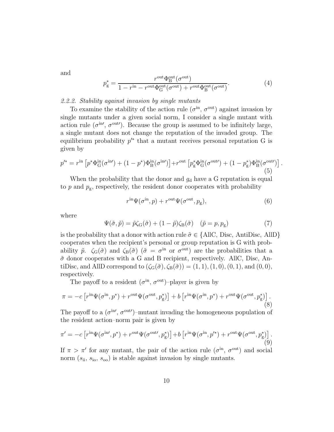and

$$
p_{\rm g}^* = \frac{r^{\rm out} \Phi_{\rm B}^{\rm out}(\sigma^{\rm out})}{1 - r^{\rm in} - r^{\rm out} \Phi_{\rm G}^{\rm out}(\sigma^{\rm out}) + r^{\rm out} \Phi_{\rm B}^{\rm out}(\sigma^{\rm out})}.
$$
 (4)

# 2.2.2. Stability against invasion by single mutants

To examine the stability of the action rule  $(\sigma^{\text{in}}, \sigma^{\text{out}})$  against invasion by single mutants under a given social norm, I consider a single mutant with action rule  $(\sigma^{\text{in}}', \sigma^{\text{out}}')$ . Because the group is assumed to be infinitely large, a single mutant does not change the reputation of the invaded group. The equilibrium probability  $p^{\prime*}$  that a mutant receives personal reputation G is given by

<span id="page-9-2"></span>
$$
p^{\prime*} = r^{\rm in} \left[ p^* \Phi_{\rm G}^{\rm in}(\sigma^{\rm in}{}') + (1 - p^*) \Phi_{\rm B}^{\rm in}(\sigma^{\rm in}{}') \right] + r^{\rm out} \left[ p_{\rm g}^* \Phi_{\rm G}^{\rm in}(\sigma^{\rm out}{}') + (1 - p_{\rm g}^*) \Phi_{\rm B}^{\rm in}(\sigma^{\rm out}{}') \right]. \tag{5}
$$

When the probability that the donor and  $g_d$  have a G reputation is equal to  $p$  and  $p_g$ , respectively, the resident donor cooperates with probability

$$
r^{\text{in}}\Psi(\sigma^{\text{in}},p) + r^{\text{out}}\Psi(\sigma^{\text{out}},p_{\text{g}}),\tag{6}
$$

where

$$
\Psi(\tilde{\sigma}, \tilde{p}) = \tilde{p}\zeta_{\mathcal{G}}(\tilde{\sigma}) + (1 - \tilde{p})\zeta_{\mathcal{B}}(\tilde{\sigma}) \quad (\tilde{p} = p, p_{\mathcal{g}})
$$
\n(7)

is the probability that a donor with action rule  $\tilde{\sigma} \in \{\text{AIC}, \text{Disc}, \text{AntiDisc}, \text{AllD}\}\$ cooperates when the recipient's personal or group reputation is G with probability  $\tilde{p}$ .  $\zeta_{\rm G}(\tilde{\sigma})$  and  $\zeta_{\rm B}(\tilde{\sigma})$  ( $\tilde{\sigma} = \sigma^{\rm in}$  or  $\sigma^{\rm out}$ ) are the probabilities that a  $\tilde{\sigma}$  donor cooperates with a G and B recipient, respectively. AllC, Disc, AntiDisc, and AllD correspond to  $(\zeta_{\mathbf{G}}(\tilde{\sigma}), \zeta_{\mathbf{B}}(\tilde{\sigma})) = (1, 1), (1, 0), (0, 1),$  and  $(0, 0),$ respectively.

The payoff to a resident  $(\sigma^{\text{in}}, \sigma^{\text{out}})$ -player is given by

<span id="page-9-0"></span>
$$
\pi = -c \left[ r^{\text{in}} \Psi(\sigma^{\text{in}}, p^*) + r^{\text{out}} \Psi(\sigma^{\text{out}}, p_g^*) \right] + b \left[ r^{\text{in}} \Psi(\sigma^{\text{in}}, p^*) + r^{\text{out}} \Psi(\sigma^{\text{out}}, p_g^*) \right]. \tag{8}
$$

The payoff to a  $(\sigma^{\text{in}}', \sigma^{\text{out}}')$ -mutant invading the homogeneous population of the resident action–norm pair is given by

<span id="page-9-1"></span>
$$
\pi' = -c \left[ r^{\text{in}} \Psi(\sigma^{\text{in}}, p^*) + r^{\text{out}} \Psi(\sigma^{\text{out}}, p_g^*) \right] + b \left[ r^{\text{in}} \Psi(\sigma^{\text{in}}, p'^*) + r^{\text{out}} \Psi(\sigma^{\text{out}}, p_g^*) \right].
$$
\n(9)

If  $\pi > \pi'$  for any mutant, the pair of the action rule  $(\sigma^{\text{in}}, \sigma^{\text{out}})$  and social norm  $(s_{ii}, s_{io}, s_{oo})$  is stable against invasion by single mutants.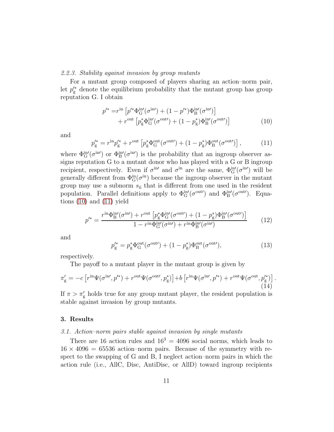#### 2.2.3. Stability against invasion by group mutants

For a mutant group composed of players sharing an action–norm pair, let  $p_{\rm g}^{\prime*}$  denote the equilibrium probability that the mutant group has group reputation G. I obtain

<span id="page-10-1"></span>
$$
p'^{*} = r^{\text{in}} \left[ p'^{*} \Phi_{\text{G}}^{\text{in}\prime}(\sigma^{\text{in}\prime}) + (1 - p'^{*}) \Phi_{\text{B}}^{\text{in}\prime}(\sigma^{\text{in}\prime}) \right] + r^{\text{out}} \left[ p_{\text{g}}^{*} \Phi_{\text{G}}^{\text{in}\prime}(\sigma^{\text{out}\prime}) + (1 - p_{\text{g}}^{*}) \Phi_{\text{B}}^{\text{in}\prime}(\sigma^{\text{out}\prime}) \right]
$$
(10)

and

<span id="page-10-2"></span>
$$
p_{\rm g}^{\prime *} = r^{\rm in} p_{\rm g}^{\prime *} + r^{\rm out} \left[ p_{\rm g}^* \Phi_{\rm G}^{\rm out} (\sigma^{\rm out} ) + (1 - p_{\rm g}^*) \Phi_{\rm B}^{\rm out} (\sigma^{\rm out} ) \right],\tag{11}
$$

where  $\Phi_{\rm G}^{\rm in}(\sigma^{\rm in}{}')$  or  $\Phi_{\rm B}^{\rm in}(\sigma^{\rm in}{}')$  is the probability that an ingroup observer assigns reputation G to a mutant donor who has played with a G or B ingroup recipient, respectively. Even if  $\sigma^{\text{in}}$  and  $\sigma^{\text{in}}$  are the same,  $\Phi_{\text{G}}^{\text{in}}(\sigma^{\text{in}})$  will be generally different from  $\Phi_{\mathbf{G}}^{\text{in}}(\sigma^{\text{in}})$  because the ingroup observer in the mutant group may use a subnorm  $s_{ii}$  that is different from one used in the resident population. Parallel definitions apply to  $\Phi_G^{\text{in}\prime}(\sigma^{\text{out}\prime})$  and  $\Phi_B^{\text{in}\prime}(\sigma^{\text{out}\prime})$ . Equations  $(10)$  and  $(11)$  yield

<span id="page-10-4"></span>
$$
p^{\prime*} = \frac{r^{\text{in}} \Phi_B^{\text{in}}(\sigma^{\text{in}}) + r^{\text{out}} \left[ p_{\text{g}}^* \Phi_G^{\text{in}}(\sigma^{\text{out}}) + (1 - p_{\text{g}}^*) \Phi_B^{\text{in}}(\sigma^{\text{out}}) \right]}{1 - r^{\text{in}} \Phi_G^{\text{in}}(\sigma^{\text{in}}) + r^{\text{in}} \Phi_B^{\text{in}}(\sigma^{\text{in}})} \tag{12}
$$

and

<span id="page-10-5"></span>
$$
p_{\rm g}^{\prime *} = p_{\rm g}^* \Phi_{\rm G}^{\rm out} (\sigma^{\rm out\prime}) + (1 - p_{\rm g}^*) \Phi_{\rm B}^{\rm out} (\sigma^{\rm out\prime}), \tag{13}
$$

respectively.

The payoff to a mutant player in the mutant group is given by

<span id="page-10-3"></span>
$$
\pi'_{\rm g} = -c \left[ r^{\rm in} \Psi(\sigma^{\rm in\prime}, p'^*) + r^{\rm out} \Psi(\sigma^{\rm out\prime}, p_{\rm g}^*) \right] + b \left[ r^{\rm in} \Psi(\sigma^{\rm in\prime}, p'^*) + r^{\rm out} \Psi(\sigma^{\rm out}, p_{\rm g}^*) \right]. \tag{14}
$$

If  $\pi > \pi_{g}'$  holds true for any group mutant player, the resident population is stable against invasion by group mutants.

#### <span id="page-10-6"></span><span id="page-10-0"></span>3. Results

#### 3.1. Action–norm pairs stable against invasion by single mutants

There are 16 action rules and  $16<sup>3</sup> = 4096$  social norms, which leads to  $16 \times 4096 = 65536$  action-norm pairs. Because of the symmetry with respect to the swapping of G and B, I neglect action–norm pairs in which the action rule (i.e., AllC, Disc, AntiDisc, or AllD) toward ingroup recipients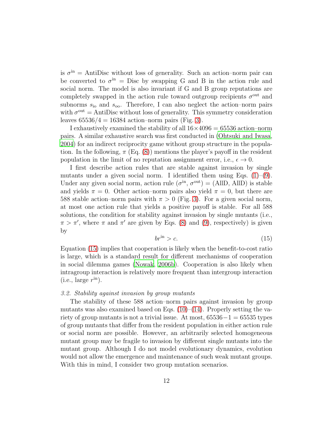is  $\sigma^{\text{in}} =$  AntiDisc without loss of generality. Such an action–norm pair can be converted to  $\sigma^{\text{in}}$  = Disc by swapping G and B in the action rule and social norm. The model is also invariant if G and B group reputations are completely swapped in the action rule toward outgroup recipients  $\sigma^{\text{out}}$  and subnorms  $s_{\rm io}$  and  $s_{\rm oo}$ . Therefore, I can also neglect the action–norm pairs with  $\sigma^{\text{out}} =$  AntiDisc without loss of generality. This symmetry consideration leaves  $65536/4 = 16384$  action-norm pairs (Fig. [3\)](#page-32-0).

I exhaustively examined the stability of all  $16\times4096 = 65536$  action–norm pairs. A similar exhaustive search was first conducted in [\(Ohtsuki and Iwasa](#page-27-3), [2004](#page-27-3)) for an indirect reciprocity game without group structure in the population. In the following,  $\pi$  (Eq. [\(8\)](#page-9-0)) mentions the player's payoff in the resident population in the limit of no reputation assignment error, i.e.,  $\epsilon \to 0$ .

I first describe action rules that are stable against invasion by single mutants under a given social norm. I identified them using Eqs.  $(1)-(9)$  $(1)-(9)$ . Under any given social norm, action rule  $(\sigma^{\text{in}}, \sigma^{\text{out}}) = (AllD, AllD)$  is stable and yields  $\pi = 0$ . Other action–norm pairs also yield  $\pi = 0$ , but there are 588 stable action–norm pairs with  $\pi > 0$  (Fig. [3\)](#page-32-0). For a given social norm, at most one action rule that yields a positive payoff is stable. For all 588 solutions, the condition for stability against invasion by single mutants (i.e.,  $\pi > \pi'$ , where  $\pi$  and  $\pi'$  are given by Eqs. [\(8\)](#page-9-0) and [\(9\)](#page-9-1), respectively) is given by

<span id="page-11-0"></span>
$$
br^{\text{in}} > c. \tag{15}
$$

Equation [\(15\)](#page-11-0) implies that cooperation is likely when the benefit-to-cost ratio is large, which is a standard result for different mechanisms of cooperation in social dilemma games [\(Nowak](#page-27-10), [2006b](#page-27-10)). Cooperation is also likely when intragroup interaction is relatively more frequent than intergroup interaction  $(i.e., large r<sup>in</sup>).$ 

#### 3.2. Stability against invasion by group mutants

The stability of these 588 action–norm pairs against invasion by group mutants was also examined based on Eqs.  $(10)$ – $(14)$ . Properly setting the variety of group mutants is not a trivial issue. At most,  $65536-1 = 65535$  types of group mutants that differ from the resident population in either action rule or social norm are possible. However, an arbitrarily selected homogeneous mutant group may be fragile to invasion by different single mutants into the mutant group. Although I do not model evolutionary dynamics, evolution would not allow the emergence and maintenance of such weak mutant groups. With this in mind, I consider two group mutation scenarios.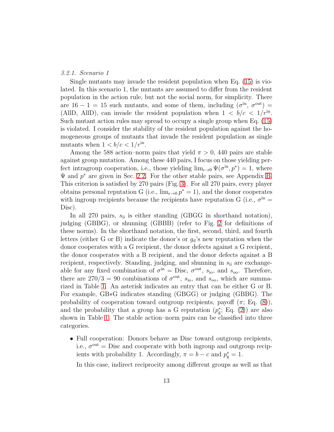#### <span id="page-12-0"></span>3.2.1. Scenario 1

Single mutants may invade the resident population when Eq. [\(15\)](#page-11-0) is violated. In this scenario 1, the mutants are assumed to differ from the resident population in the action rule, but not the social norm, for simplicity. There are  $16 - 1 = 15$  such mutants, and some of them, including  $(\sigma^{\text{in}}, \sigma^{\text{out}})$ (AllD, AllD), can invade the resident population when  $1 < b/c < 1/r^{in}$ . Such mutant action rules may spread to occupy a single group when Eq. [\(15\)](#page-11-0) is violated. I consider the stability of the resident population against the homogeneous groups of mutants that invade the resident population as single mutants when  $1 < b/c < 1/r^{\text{in}}$ .

Among the 588 action–norm pairs that yield  $\pi > 0$ , 440 pairs are stable against group mutation. Among these 440 pairs, I focus on those yielding perfect intragroup cooperation, i.e., those yielding  $\lim_{\epsilon \to 0} \Psi(\sigma^{\text{in}}, p^*) = 1$ , where  $\Psi$  and  $p^*$  are given in Sec. [2.2.](#page-8-2) For the other stable pairs, see Appendix [B.](#page-24-0) This criterion is satisfied by 270 pairs (Fig. [3\)](#page-32-0). For all 270 pairs, every player obtains personal reputation G (i.e.,  $\lim_{\epsilon \to 0} p^* = 1$ ), and the donor cooperates with ingroup recipients because the recipients have reputation G (i.e.,  $\sigma^{\text{in}} =$ Disc).

In all 270 pairs,  $s_{ii}$  is either standing (GBGG in shorthand notation), judging (GBBG), or shunning (GBBB) (refer to Fig. [2](#page-31-0) for definitions of these norms). In the shorthand notation, the first, second, third, and fourth letters (either G or B) indicate the donor's or  $g_d$ 's new reputation when the donor cooperates with a G recipient, the donor defects against a G recipient, the donor cooperates with a B recipient, and the donor defects against a B recipient, respectively. Standing, judging, and shunning in  $s_{ii}$  are exchangeable for any fixed combination of  $\sigma^{\text{in}} = \text{Disc}, \sigma^{\text{out}}, s_{\text{io}}, \text{ and } s_{\text{oo}}$ . Therefore, there are  $270/3 = 90$  combinations of  $\sigma^{out}$ ,  $s_{io}$ , and  $s_{oo}$ , which are summarized in Table [1.](#page-33-0) An asterisk indicates an entry that can be either G or B. For example, GB∗G indicates standing (GBGG) or judging (GBBG). The probability of cooperation toward outgroup recipients, payoff  $(\pi; Eq. (8)),$  $(\pi; Eq. (8)),$  $(\pi; Eq. (8)),$ and the probability that a group has a G reputation  $(p_{\rm g}^*$  $_{\rm g}^*$ ; Eq. [\(2\)](#page-8-0)) are also shown in Table [1.](#page-33-0) The stable action–norm pairs can be classified into three categories.

• Full cooperation: Donors behave as Disc toward outgroup recipients, i.e.,  $\sigma^{\text{out}} = \text{Disc}$  and cooperate with both ingroup and outgroup recipients with probability 1. Accordingly,  $\pi = b - c$  and  $p_g^* = 1$ .

In this case, indirect reciprocity among different groups as well as that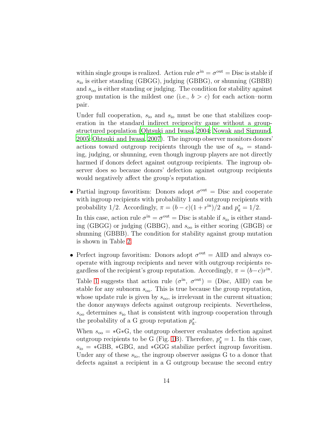within single groups is realized. Action rule  $\sigma^{\text{in}} = \sigma^{\text{out}} = \text{Disc}$  is stable if  $s_{\rm io}$  is either standing (GBGG), judging (GBBG), or shunning (GBBB) and  $s_{oo}$  is either standing or judging. The condition for stability against group mutation is the mildest one (i.e.,  $b > c$ ) for each action–norm pair.

Under full cooperation,  $s_{\rm io}$  and  $s_{\rm io}$  must be one that stabilizes cooperation in the standard indirect reciprocity game without a groupstructured population [\(Ohtsuki and Iwasa](#page-27-3), [2004](#page-27-3); [Nowak and Sigmund](#page-27-5), [2005;](#page-27-5) [Ohtsuki and Iwasa](#page-27-4), [2007](#page-27-4)). The ingroup observer monitors donors' actions toward outgroup recipients through the use of  $s_{\rm io} =$  standing, judging, or shunning, even though ingroup players are not directly harmed if donors defect against outgroup recipients. The ingroup observer does so because donors' defection against outgroup recipients would negatively affect the group's reputation.

• Partial ingroup favoritism: Donors adopt  $\sigma^{\text{out}} = \text{Disc}$  and cooperate with ingroup recipients with probability 1 and outgroup recipients with probability 1/2. Accordingly,  $\pi = (b - c)(1 + r^{\text{in}})/2$  and  $p_{\text{g}}^* = 1/2$ .

In this case, action rule  $\sigma^{\text{in}} = \sigma^{\text{out}} = \text{Disc}$  is stable if  $s_{\text{io}}$  is either standing (GBGG) or judging (GBBG), and  $s_{oo}$  is either scoring (GBGB) or shunning (GBBB). The condition for stability against group mutation is shown in Table [2.](#page-34-0)

• Perfect ingroup favoritism: Donors adopt  $\sigma^{\text{out}} =$  AllD and always cooperate with ingroup recipients and never with outgroup recipients regardless of the recipient's group reputation. Accordingly,  $\pi = (b-c)r^{\text{in}}$ . Table [1](#page-33-0) suggests that action rule  $(\sigma^{\text{in}}, \sigma^{\text{out}}) = (\text{Disc}, \text{ AllD})$  can be stable for any subnorm  $s_{\text{oo}}$ . This is true because the group reputation, whose update rule is given by  $s_{\rm oo}$ , is irrelevant in the current situation; the donor anyways defects against outgroup recipients. Nevertheless,  $s_{\rm oo}$  determines  $s_{\rm io}$  that is consistent with ingroup cooperation through the probability of a G group reputation  $p_{\rm g}^*$ g .

When  $s_{oo} = *G *G$ , the outgroup observer evaluates defection against outgroup recipients to be G (Fig. [1B](#page-30-0)). Therefore,  $p_g^* = 1$ . In this case,  $s_{\rm io} = *GBB, *GBG,$  and  $*GGG$  stabilize perfect ingroup favoritism. Under any of these  $s_{\text{io}}$ , the ingroup observer assigns G to a donor that defects against a recipient in a G outgroup because the second entry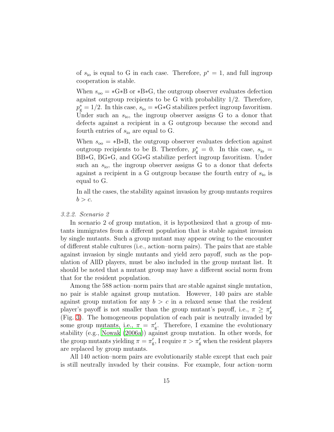of  $s_{\text{io}}$  is equal to G in each case. Therefore,  $p^* = 1$ , and full ingroup cooperation is stable.

When  $s_{oo} = *G*B$  or  $*B*G$ , the outgroup observer evaluates defection against outgroup recipients to be G with probability  $1/2$ . Therefore,  $p_{\rm g}^* = 1/2$ . In this case,  $s_{\rm io} = *G * G$  stabilizes perfect ingroup favoritism. Under such an  $s_{\rm io}$ , the ingroup observer assigns G to a donor that defects against a recipient in a G outgroup because the second and fourth entries of  $s_{\text{io}}$  are equal to G.

When  $s_{oo} = *B*B$ , the outgroup observer evaluates defection against outgroup recipients to be B. Therefore,  $p_g^* = 0$ . In this case,  $s_{io} =$ BB∗G, BG∗G, and GG∗G stabilize perfect ingroup favoritism. Under such an  $s_{\text{io}}$ , the ingroup observer assigns G to a donor that defects against a recipient in a G outgroup because the fourth entry of  $s_{\rm io}$  is equal to G.

In all the cases, the stability against invasion by group mutants requires  $b > c$ .

#### <span id="page-14-0"></span>3.2.2. Scenario 2

In scenario 2 of group mutation, it is hypothesized that a group of mutants immigrates from a different population that is stable against invasion by single mutants. Such a group mutant may appear owing to the encounter of different stable cultures (i.e., action–norm pairs). The pairs that are stable against invasion by single mutants and yield zero payoff, such as the population of AllD players, must be also included in the group mutant list. It should be noted that a mutant group may have a different social norm from that for the resident population.

Among the 588 action–norm pairs that are stable against single mutation, no pair is stable against group mutation. However, 140 pairs are stable against group mutation for any  $b > c$  in a relaxed sense that the resident player's payoff is not smaller than the group mutant's payoff, i.e.,  $\pi \geq \pi'_{g}$ g (Fig. [3\)](#page-32-0). The homogeneous population of each pair is neutrally invaded by some group mutants, i.e.,  $\pi = \pi'$ g . Therefore, I examine the evolutionary stability (e.g., [Nowak \(2006a\)](#page-27-0)) against group mutation. In other words, for the group mutants yielding  $\pi = \pi_{\epsilon}^{\prime}$  $\eta_{\rm g}^{\prime}$ , I require  $\pi > \pi_{\rm g}^{\prime}$  when the resident players are replaced by group mutants.

All 140 action–norm pairs are evolutionarily stable except that each pair is still neutrally invaded by their cousins. For example, four action–norm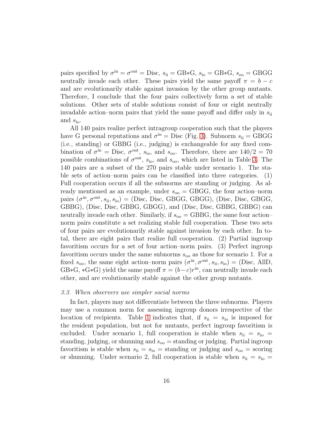pairs specified by  $\sigma^{\text{in}} = \sigma^{\text{out}} = \text{Disc}, s_{\text{ii}} = \text{GB} * \text{G}, s_{\text{io}} = \text{GB} * \text{G}, s_{\text{oo}} = \text{GBGG}$ neutrally invade each other. These pairs yield the same payoff  $\pi = b - c$ and are evolutionarily stable against invasion by the other group mutants. Therefore, I conclude that the four pairs collectively form a set of stable solutions. Other sets of stable solutions consist of four or eight neutrally invadable action–norm pairs that yield the same payoff and differ only in  $s_{ii}$ and  $s_{\rm io}$ .

All 140 pairs realize perfect intragroup cooperation such that the players have G personal reputations and  $\sigma^{\text{in}} = \text{Disc (Fig. 3)}$  $\sigma^{\text{in}} = \text{Disc (Fig. 3)}$  $\sigma^{\text{in}} = \text{Disc (Fig. 3)}$ . Subnorm  $s_{\text{ii}} = \text{GBGG}$ (i.e., standing) or GBBG (i.e., judging) is exchangeable for any fixed combination of  $\sigma^{\text{in}} = \text{Disc}, \sigma^{\text{out}}, s_{\text{io}}, \text{ and } s_{\text{oo}}$ . Therefore, there are  $140/2 = 70$ possible combinations of  $\sigma^{\text{out}}$ ,  $s_{\text{io}}$ , and  $s_{\text{oo}}$ , which are listed in Table [3.](#page-35-0) The 140 pairs are a subset of the 270 pairs stable under scenario 1. The stable sets of action–norm pairs can be classified into three categories. (1) Full cooperation occurs if all the subnorms are standing or judging. As already mentioned as an example, under  $s_{oo} = GBGG$ , the four action–norm pairs  $(\sigma^{\text{in}}, \sigma^{\text{out}}, s_{\text{ii}}, s_{\text{io}})$  = (Disc, Disc, GBGG, GBGG, GBGG), (Disc, Disc, GBGG, GBBG), (Disc, Disc, GBBG, GBGG), and (Disc, Disc, GBBG, GBBG) can neutrally invade each other. Similarly, if  $s_{oo} = GBBG$ , the same four action– norm pairs constitute a set realizing stable full cooperation. These two sets of four pairs are evolutionarily stable against invasion by each other. In total, there are eight pairs that realize full cooperation. (2) Partial ingroup favoritism occurs for a set of four action–norm pairs. (3) Perfect ingroup favoritism occurs under the same subnorms  $s_{oo}$  as those for scenario 1. For a fixed  $s_{\text{oo}}$ , the same eight action–norm pairs  $(\sigma^{\text{in}}, \sigma^{\text{out}}, s_{\text{ii}}, s_{\text{io}}) = (\text{Disc}, \text{AllD},$  $GB*G, *G*G$ ) yield the same payoff  $\pi = (b-c)r^{\text{in}}$ , can neutrally invade each other, and are evolutionarily stable against the other group mutants.

#### <span id="page-15-0"></span>3.3. When observers use simpler social norms

In fact, players may not differentiate between the three subnorms. Players may use a common norm for assessing ingroup donors irrespective of the location of recipients. Table [1](#page-33-0) indicates that, if  $s_{ii} = s_{io}$  is imposed for the resident population, but not for mutants, perfect ingroup favoritism is excluded. Under scenario 1, full cooperation is stable when  $s_{ii} = s_{io}$ standing, judging, or shunning and  $s_{oo}$  = standing or judging. Partial ingroup favoritism is stable when  $s_{ii} = s_{io} =$  standing or judging and  $s_{oo} =$  scoring or shunning. Under scenario 2, full cooperation is stable when  $s_{ii} = s_{io} =$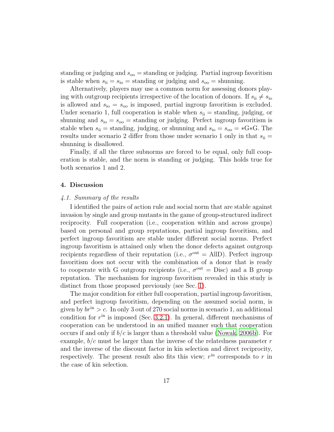standing or judging and  $s_{oo}$  = standing or judging. Partial ingroup favoritism is stable when  $s_{ii} = s_{io} =$  standing or judging and  $s_{oo} =$  shunning.

Alternatively, players may use a common norm for assessing donors playing with outgroup recipients irrespective of the location of donors. If  $s_{ii} \neq s_{io}$ is allowed and  $s_{\rm io} = s_{\rm oo}$  is imposed, partial ingroup favoritism is excluded. Under scenario 1, full cooperation is stable when  $s_{ii}$  = standing, judging, or shunning and  $s_{io} = s_{oo} =$  standing or judging. Perfect ingroup favoritism is stable when  $s_{ii}$  = standing, judging, or shunning and  $s_{io} = s_{oo} = *G*G$ . The results under scenario 2 differ from those under scenario 1 only in that  $s_{ii} =$ shunning is disallowed.

Finally, if all the three subnorms are forced to be equal, only full cooperation is stable, and the norm is standing or judging. This holds true for both scenarios 1 and 2.

#### 4. Discussion

#### 4.1. Summary of the results

I identified the pairs of action rule and social norm that are stable against invasion by single and group mutants in the game of group-structured indirect reciprocity. Full cooperation (i.e., cooperation within and across groups) based on personal and group reputations, partial ingroup favoritism, and perfect ingroup favoritism are stable under different social norms. Perfect ingroup favoritism is attained only when the donor defects against outgroup recipients regardless of their reputation (i.e.,  $\sigma^{\text{out}} =$  AllD). Perfect ingroup favoritism does not occur with the combination of a donor that is ready to cooperate with G outgroup recipients (i.e.,  $\sigma^{\text{out}} = \text{Disc}$ ) and a B group reputation. The mechanism for ingroup favoritism revealed in this study is distinct from those proposed previously (see Sec. [1\)](#page-2-0).

The major condition for either full cooperation, partial ingroup favoritism, and perfect ingroup favoritism, depending on the assumed social norm, is given by  $br<sup>in</sup> > c$ . In only 3 out of 270 social norms in scenario 1, an additional condition for  $r<sup>in</sup>$  is imposed (Sec. [3.2.1\)](#page-12-0). In general, different mechanisms of cooperation can be understood in an unified manner such that cooperation occurs if and only if  $b/c$  is larger than a threshold value [\(Nowak, 2006b\)](#page-27-10). For example,  $b/c$  must be larger than the inverse of the relatedness parameter r and the inverse of the discount factor in kin selection and direct reciprocity, respectively. The present result also fits this view;  $r^{\text{in}}$  corresponds to r in the case of kin selection.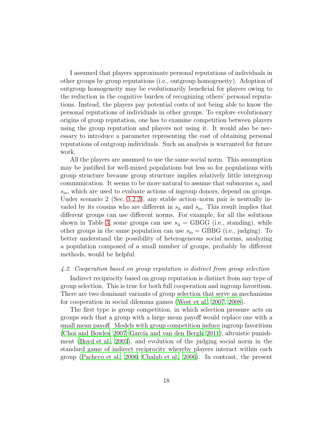I assumed that players approximate personal reputations of individuals in other groups by group reputations (i.e., outgroup homogeneity). Adoption of outgroup homogeneity may be evolutionarily beneficial for players owing to the reduction in the cognitive burden of recognizing others' personal reputations. Instead, the players pay potential costs of not being able to know the personal reputations of individuals in other groups. To explore evolutionary origins of group reputation, one has to examine competition between players using the group reputation and players not using it. It would also be necessary to introduce a parameter representing the cost of obtaining personal reputations of outgroup individuals. Such an analysis is warranted for future work.

All the players are assumed to use the same social norm. This assumption may be justified for well-mixed populations but less so for populations with group structure because group structure implies relatively little intergroup communication. It seems to be more natural to assume that subnorms  $s_{ii}$  and  $s<sub>io</sub>$ , which are used to evaluate actions of ingroup donors, depend on groups. Under scenario 2 (Sec. [3.2.2\)](#page-14-0), any stable action–norm pair is neutrally invaded by its cousins who are different in  $s_{ii}$  and  $s_{io}$ . This result implies that different groups can use different norms. For example, for all the solutions shown in Table [3,](#page-35-0) some groups can use  $s_{ii} = GBGG$  (i.e., standing), while other groups in the same population can use  $s_{io} = GBBG$  (i.e., judging). To better understand the possibility of heterogeneous social norms, analyzing a population composed of a small number of groups, probably by different methods, would be helpful.

#### <span id="page-17-0"></span>4.2. Cooperation based on group reputation is distinct from group selection

Indirect reciprocity based on group reputation is distinct from any type of group selection. This is true for both full cooperation and ingroup favoritism. There are two dominant variants of group selection that serve as mechanisms for cooperation in social dilemma games [\(West et al., 2007,](#page-28-7) [2008](#page-28-8)).

The first type is group competition, in which selection pressure acts on groups such that a group with a large mean payoff would replace one with a small mean payoff. Models with group competition induce ingroup favoritism [\(Choi and Bowles](#page-26-9), [2007](#page-26-9); García and van den Bergh, [2011](#page-26-10)), altruistic punishment [\(Boyd et al., 2003\)](#page-25-6), and evolution of the judging social norm in the standard game of indirect reciprocity whereby players interact within each group [\(Pacheco et al., 2006](#page-28-9); [Chalub et al., 2006](#page-26-13)). In contrast, the present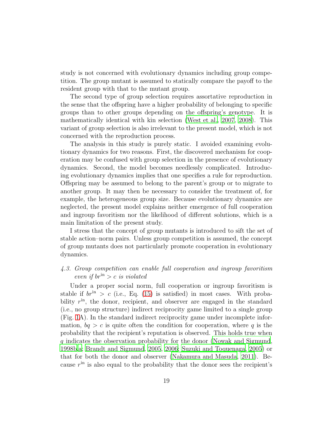study is not concerned with evolutionary dynamics including group competition. The group mutant is assumed to statically compare the payoff to the resident group with that to the mutant group.

The second type of group selection requires assortative reproduction in the sense that the offspring have a higher probability of belonging to specific groups than to other groups depending on the offspring's genotype. It is mathematically identical with kin selection [\(West et al., 2007,](#page-28-7) [2008](#page-28-8)). This variant of group selection is also irrelevant to the present model, which is not concerned with the reproduction process.

The analysis in this study is purely static. I avoided examining evolutionary dynamics for two reasons. First, the discovered mechanism for cooperation may be confused with group selection in the presence of evolutionary dynamics. Second, the model becomes needlessly complicated. Introducing evolutionary dynamics implies that one specifies a rule for reproduction. Offspring may be assumed to belong to the parent's group or to migrate to another group. It may then be necessary to consider the treatment of, for example, the heterogeneous group size. Because evolutionary dynamics are neglected, the present model explains neither emergence of full cooperation and ingroup favoritism nor the likelihood of different solutions, which is a main limitation of the present study.

I stress that the concept of group mutants is introduced to sift the set of stable action–norm pairs. Unless group competition is assumed, the concept of group mutants does not particularly promote cooperation in evolutionary dynamics.

# 4.3. Group competition can enable full cooperation and ingroup favoritism even if  $br<sup>in</sup> > c$  is violated

Under a proper social norm, full cooperation or ingroup favoritism is stable if  $br<sup>in</sup> > c$  (i.e., Eq. [\(15\)](#page-11-0) is satisfied) in most cases. With probability  $r<sup>in</sup>$ , the donor, recipient, and observer are engaged in the standard (i.e., no group structure) indirect reciprocity game limited to a single group (Fig. [1A](#page-30-0)). In the standard indirect reciprocity game under incomplete information,  $bq > c$  is quite often the condition for cooperation, where q is the probability that the recipient's reputation is observed. This holds true when q indicates the observation probability for the donor [\(Nowak and Sigmund](#page-27-8), [1998b](#page-27-8)[,a;](#page-27-1) [Brandt and Sigmund](#page-25-1), [2005](#page-25-1), [2006](#page-25-2); [Suzuki and Toquenaga, 2005](#page-28-6)) or that for both the donor and observer [\(Nakamura and Masuda](#page-27-9), [2011](#page-27-9)). Because  $r^{\text{in}}$  is also equal to the probability that the donor sees the recipient's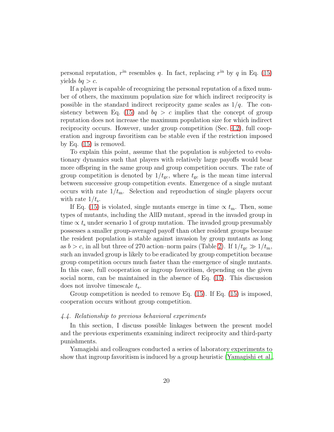personal reputation,  $r<sup>in</sup>$  resembles q. In fact, replacing  $r<sup>in</sup>$  by q in Eq. [\(15\)](#page-11-0) yields  $bq > c$ .

If a player is capable of recognizing the personal reputation of a fixed number of others, the maximum population size for which indirect reciprocity is possible in the standard indirect reciprocity game scales as  $1/q$ . The con-sistency between Eq. [\(15\)](#page-11-0) and  $bq > c$  implies that the concept of group reputation does not increase the maximum population size for which indirect reciprocity occurs. However, under group competition (Sec. [4.2\)](#page-17-0), full cooperation and ingroup favoritism can be stable even if the restriction imposed by Eq. [\(15\)](#page-11-0) is removed.

To explain this point, assume that the population is subjected to evolutionary dynamics such that players with relatively large payoffs would bear more offspring in the same group and group competition occurs. The rate of group competition is denoted by  $1/t_{\rm gc}$ , where  $t_{\rm gc}$  is the mean time interval between successive group competition events. Emergence of a single mutant occurs with rate  $1/t_{\rm m}$ . Selection and reproduction of single players occur with rate  $1/t_s$ .

If Eq. [\(15\)](#page-11-0) is violated, single mutants emerge in time  $\propto t_{\rm m}$ . Then, some types of mutants, including the AllD mutant, spread in the invaded group in time  $\propto t_{\rm s}$  under scenario 1 of group mutation. The invaded group presumably possesses a smaller group-averaged payoff than other resident groups because the resident population is stable against invasion by group mutants as long as  $b > c$ , in all but three of 270 action–norm pairs (Table [2\)](#page-34-0). If  $1/t_{\rm gc} \gg 1/t_{\rm m}$ , such an invaded group is likely to be eradicated by group competition because group competition occurs much faster than the emergence of single mutants. In this case, full cooperation or ingroup favoritism, depending on the given social norm, can be maintained in the absence of Eq. [\(15\)](#page-11-0). This discussion does not involve timescale  $t_s$ .

Group competition is needed to remove Eq. [\(15\)](#page-11-0). If Eq. [\(15\)](#page-11-0) is imposed, cooperation occurs without group competition.

# 4.4. Relationship to previous behavioral experiments

In this section, I discuss possible linkages between the present model and the previous experiments examining indirect reciprocity and third-party punishments.

Yamagishi and colleagues conducted a series of laboratory experiments to show that ingroup favoritism is induced by a group heuristic [\(Yamagishi et al.](#page-29-0),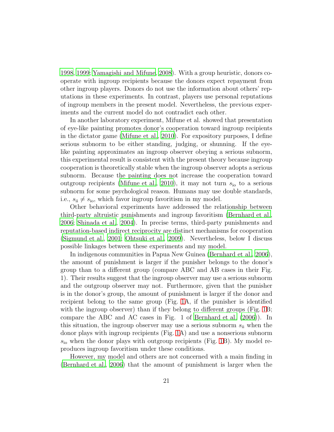[1998](#page-29-0), [1999;](#page-29-1) [Yamagishi and Mifune](#page-29-2), [2008\)](#page-29-2). With a group heuristic, donors cooperate with ingroup recipients because the donors expect repayment from other ingroup players. Donors do not use the information about others' reputations in these experiments. In contrast, players use personal reputations of ingroup members in the present model. Nevertheless, the previous experiments and the current model do not contradict each other.

In another laboratory experiment, Mifune et al. showed that presentation of eye-like painting promotes donor's cooperation toward ingroup recipients in the dictator game [\(Mifune et al., 2010](#page-27-11)). For expository purposes, I define serious subnorm to be either standing, judging, or shunning. If the eyelike painting approximates an ingroup observer obeying a serious subnorm, this experimental result is consistent with the present theory because ingroup cooperation is theoretically stable when the ingroup observer adopts a serious subnorm. Because the painting does not increase the cooperation toward outgroup recipients [\(Mifune et al.](#page-27-11), [2010](#page-27-11)), it may not turn  $s_{i_0}$  to a serious subnorm for some psychological reason. Humans may use double standards, i.e.,  $s_{ii} \neq s_{io}$ , which favor ingroup favoritism in my model.

Other behavioral experiments have addressed the relationship between third-party altruistic punishments and ingroup favoritism [\(Bernhard et al.](#page-25-7), [2006](#page-25-7); [Shinada et al.](#page-28-10), [2004](#page-28-10)). In precise terms, third-party punishments and reputation-based indirect reciprocity are distinct mechanisms for cooperation [\(Sigmund et al., 2001;](#page-28-11) [Ohtsuki et al.](#page-27-12), [2009\)](#page-27-12). Nevertheless, below I discuss possible linkages between these experiments and my model.

In indigenous communities in Papua New Guinea [\(Bernhard et al., 2006\)](#page-25-7), the amount of punishment is larger if the punisher belongs to the donor's group than to a different group (compare ABC and AB cases in their Fig. 1). Their results suggest that the ingroup observer may use a serious subnorm and the outgroup observer may not. Furthermore, given that the punisher is in the donor's group, the amount of punishment is larger if the donor and recipient belong to the same group (Fig. [1A](#page-30-0), if the punisher is identified with the ingroup observer) than if they belong to different groups (Fig. [1B](#page-30-0); compare the ABC and AC cases in Fig. 1 of [Bernhard et al. \(2006\)](#page-25-7)). In this situation, the ingroup observer may use a serious subnorm  $s_{ii}$  when the donor plays with ingroup recipients (Fig. [1A](#page-30-0)) and use a nonserious subnorm  $s<sub>io</sub>$  when the donor plays with outgroup recipients (Fig. [1B](#page-30-0)). My model reproduces ingroup favoritism under these conditions.

However, my model and others are not concerned with a main finding in [\(Bernhard et al.](#page-25-7), [2006\)](#page-25-7) that the amount of punishment is larger when the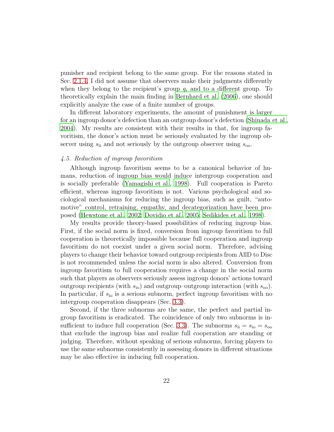punisher and recipient belong to the same group. For the reasons stated in Sec. [2.1.4,](#page-6-0) I did not assume that observers make their judgments differently when they belong to the recipient's group  $g_r$  and to a different group. To theoretically explain the main finding in [Bernhard et al. \(2006\)](#page-25-7), one should explicitly analyze the case of a finite number of groups.

In different laboratory experiments, the amount of punishment is larger for an ingroup donor's defection than an outgroup donor's defection [\(Shinada et al.,](#page-28-10) [2004](#page-28-10)). My results are consistent with their results in that, for ingroup favoritism, the donor's action must be seriously evaluated by the ingroup observer using  $s_{ii}$  and not seriously by the outgroup observer using  $s_{oo}$ .

# 4.5. Reduction of ingroup favoritism

Although ingroup favoritism seems to be a canonical behavior of humans, reduction of ingroup bias would induce intergroup cooperation and is socially preferable [\(Yamagishi et al.](#page-29-0), [1998](#page-29-0)). Full cooperation is Pareto efficient, whereas ingroup favoritism is not. Various psychological and sociological mechanisms for reducing the ingroup bias, such as guilt, "automotive" control, retraining, empathy, and decategorization have been proposed [\(Hewstone et al.](#page-26-3), [2002;](#page-26-3) [Dovidio et al., 2005](#page-26-1); [Sedikides et al.](#page-28-1), [1998\)](#page-28-1).

My results provide theory-based possibilities of reducing ingroup bias. First, if the social norm is fixed, conversion from ingroup favoritism to full cooperation is theoretically impossible because full cooperation and ingroup favoritism do not coexist under a given social norm. Therefore, advising players to change their behavior toward outgroup recipients from AllD to Disc is not recommended unless the social norm is also altered. Conversion from ingroup favoritism to full cooperation requires a change in the social norm such that players as observers seriously assess ingroup donors' actions toward outgroup recipients (with  $s_{\text{io}}$ ) and outgroup–outgroup interaction (with  $s_{\text{oo}}$ ). In particular, if  $s_{\rm io}$  is a serious subnorm, perfect ingroup favoritism with no intergroup cooperation disappears (Sec. [3.3\)](#page-15-0).

Second, if the three subnorms are the same, the perfect and partial ingroup favoritism is eradicated. The coincidence of only two subnorms is in-sufficient to induce full cooperation (Sec. [3.3\)](#page-15-0). The subnorms  $s_{ii} = s_{io} = s_{oo}$ that exclude the ingroup bias and realize full cooperation are standing or judging. Therefore, without speaking of serious subnorms, forcing players to use the same subnorms consistently in assessing donors in different situations may be also effective in inducing full cooperation.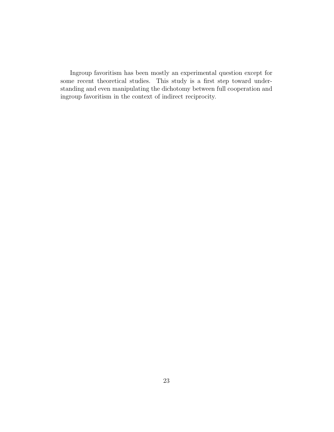Ingroup favoritism has been mostly an experimental question except for some recent theoretical studies. This study is a first step toward understanding and even manipulating the dichotomy between full cooperation and ingroup favoritism in the context of indirect reciprocity.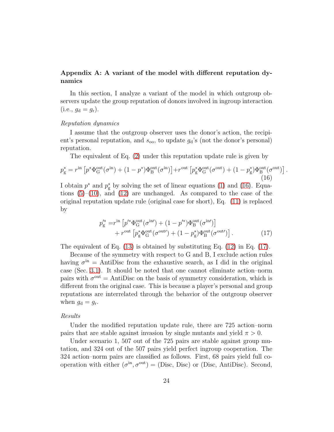# <span id="page-23-0"></span>Appendix A: A variant of the model with different reputation dynamics

In this section, I analyze a variant of the model in which outgroup observers update the group reputation of donors involved in ingroup interaction  $(i.e., g_d = g_r).$ 

# Reputation dynamics

I assume that the outgroup observer uses the donor's action, the recipient's personal reputation, and  $s_{oo}$ , to update  $g_d$ 's (not the donor's personal) reputation.

The equivalent of Eq. [\(2\)](#page-8-0) under this reputation update rule is given by

<span id="page-23-1"></span>
$$
p_{\rm g}^* = r^{\rm in} \left[ p^* \Phi_{\rm G}^{\rm out}(\sigma^{\rm in}) + (1 - p^*) \Phi_{\rm B}^{\rm out}(\sigma^{\rm in}) \right] + r^{\rm out} \left[ p_{\rm g}^* \Phi_{\rm G}^{\rm out}(\sigma^{\rm out}) + (1 - p_{\rm g}^*) \Phi_{\rm B}^{\rm out}(\sigma^{\rm out}) \right]. \tag{16}
$$

I obtain  $p^*$  and  $p^*_{\rm g}$  by solving the set of linear equations [\(1\)](#page-8-1) and [\(16\)](#page-23-1). Equations  $(5)-(10)$  $(5)-(10)$ , and  $(12)$  are unchanged. As compared to the case of the original reputation update rule (original case for short), Eq. [\(11\)](#page-10-2) is replaced by

<span id="page-23-2"></span>
$$
p_{\rm g}^{\prime *} = r^{\rm in} \left[ p^{\prime *} \Phi_{\rm G}^{\rm out}(\sigma^{\rm in\prime}) + (1 - p^{\prime *} ) \Phi_{\rm B}^{\rm out}(\sigma^{\rm in\prime}) \right] + r^{\rm out} \left[ p_{\rm g}^* \Phi_{\rm G}^{\rm out}(\sigma^{\rm out\prime}) + (1 - p_{\rm g}^*) \Phi_{\rm B}^{\rm out}(\sigma^{\rm out\prime}) \right].
$$
 (17)

The equivalent of Eq.  $(13)$  is obtained by substituting Eq.  $(12)$  in Eq.  $(17)$ .

Because of the symmetry with respect to G and B, I exclude action rules having  $\sigma^{\text{in}}$  = AntiDisc from the exhaustive search, as I did in the original case (Sec. [3.1\)](#page-10-6). It should be noted that one cannot eliminate action–norm pairs with  $\sigma^{\text{out}} =$  AntiDisc on the basis of symmetry consideration, which is different from the original case. This is because a player's personal and group reputations are interrelated through the behavior of the outgroup observer when  $g_d = g_r$ .

#### Results

Under the modified reputation update rule, there are 725 action–norm pairs that are stable against invasion by single mutants and yield  $\pi > 0$ .

Under scenario 1, 507 out of the 725 pairs are stable against group mutation, and 324 out of the 507 pairs yield perfect ingroup cooperation. The 324 action–norm pairs are classified as follows. First, 68 pairs yield full cooperation with either  $(\sigma^{\text{in}}, \sigma^{\text{out}}) = (\text{Disc}, \text{Disc})$  or (Disc, AntiDisc). Second,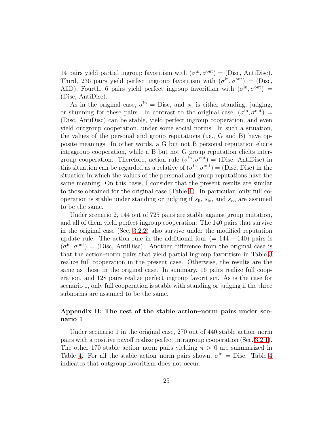14 pairs yield partial ingroup favoritism with  $(\sigma^{\text{in}}, \sigma^{\text{out}}) = (\text{Disc}, \text{AntiDisc})$ . Third, 236 pairs yield perfect ingroup favoritism with  $(\sigma^{\text{in}}, \sigma^{\text{out}}) = (\text{Disc},$ AllD). Fourth, 6 pairs yield perfect ingroup favoritism with  $(\sigma^{\text{in}}, \sigma^{\text{out}})$  = (Disc, AntiDisc).

As in the original case,  $\sigma^{\text{in}} =$  Disc, and  $s_{\text{ii}}$  is either standing, judging, or shunning for these pairs. In contrast to the original case,  $(\sigma^{\text{in}}, \sigma^{\text{out}})$  = (Disc, AntiDisc) can be stable, yield perfect ingroup cooperation, and even yield outgroup cooperation, under some social norms. In such a situation, the values of the personal and group reputations (i.e., G and B) have opposite meanings. In other words, a G but not B personal reputation elicits intragroup cooperation, while a B but not G group reputation elicits intergroup cooperation. Therefore, action rule  $(\sigma^{\text{in}}, \sigma^{\text{out}}) = (\text{Disc}, \text{ AntiDisc})$  in this situation can be regarded as a relative of  $(\sigma^{\text{in}}, \sigma^{\text{out}}) = (\text{Disc}, \text{Disc})$  in the situation in which the values of the personal and group reputations have the same meaning. On this basis, I consider that the present results are similar to those obtained for the original case (Table [1\)](#page-33-0). In particular, only full cooperation is stable under standing or judging if  $s_{ii}$ ,  $s_{io}$ , and  $s_{oo}$  are assumed to be the same.

Under scenario 2, 144 out of 725 pairs are stable against group mutation, and all of them yield perfect ingroup cooperation. The 140 pairs that survive in the original case (Sec. [3.2.2\)](#page-14-0) also survive under the modified reputation update rule. The action rule in the additional four  $(= 144 - 140)$  pairs is  $(\sigma^{\text{in}}, \sigma^{\text{out}})$  = (Disc, AntiDisc). Another difference from the original case is that the action–norm pairs that yield partial ingroup favoritism in Table [3](#page-35-0) realize full cooperation in the present case. Otherwise, the results are the same as those in the original case. In summary, 16 pairs realize full cooperation, and 128 pairs realize perfect ingroup favoritism. As is the case for scenario 1, only full cooperation is stable with standing or judging if the three subnorms are assumed to be the same.

# Appendix B: The rest of the stable action–norm pairs under scenario 1

<span id="page-24-0"></span>Under sceinario 1 in the original case, 270 out of 440 stable action–norm pairs with a positive payoff realize perfect intragroup cooperation (Sec. [3.2.1\)](#page-12-0). The other 170 stable action–norm pairs yielding  $\pi > 0$  are summarized in Table [4.](#page-36-0) For all the stable action–norm pairs shown,  $\sigma^{\text{in}} =$  Disc. Table [4](#page-36-0) indicates that outgroup favoritism does not occur.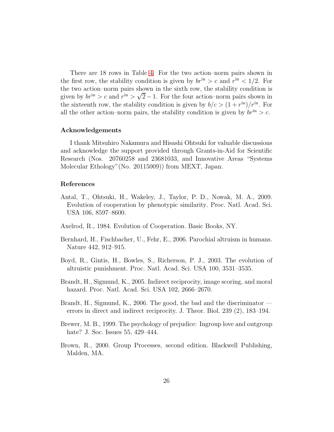There are 18 rows in Table [4.](#page-36-0) For the two action–norm pairs shown in the first row, the stability condition is given by  $br<sup>in</sup> > c$  and  $r<sup>in</sup> < 1/2$ . For the two action–norm pairs shown in the sixth row, the stability condition is given by  $br<sup>in</sup> > c$  and  $r<sup>in</sup> > \sqrt{2} - 1$ . For the four action–norm pairs shown in the sixteenth row, the stability condition is given by  $b/c > (1 + r^{\text{in}})/r^{\text{in}}$ . For all the other action–norm pairs, the stability condition is given by  $br<sup>in</sup> > c$ .

# Acknowledgements

I thank Mitsuhiro Nakamura and Hisashi Ohtsuki for valuable discussions and acknowledge the support provided through Grants-in-Aid for Scientific Research (Nos. 20760258 and 23681033, and Innovative Areas "Systems Molecular Ethology"(No. 20115009)) from MEXT, Japan.

#### References

- <span id="page-25-5"></span>Antal, T., Ohtsuki, H., Wakeley, J., Taylor, P. D., Nowak, M. A., 2009. Evolution of cooperation by phenotypic similarity. Proc. Natl. Acad. Sci. USA 106, 8597–8600.
- <span id="page-25-0"></span>Axelrod, R., 1984. Evolution of Cooperation. Basic Books, NY.
- <span id="page-25-7"></span>Bernhard, H., Fischbacher, U., Fehr, E., 2006. Parochial altruism in humans. Nature 442, 912–915.
- <span id="page-25-6"></span>Boyd, R., Gintis, H., Bowles, S., Richerson, P. J., 2003. The evolution of altruistic punishment. Proc. Natl. Acad. Sci. USA 100, 3531–3535.
- <span id="page-25-1"></span>Brandt, H., Sigmund, K., 2005. Indirect reciprocity, image scoring, and moral hazard. Proc. Natl. Acad. Sci. USA 102, 2666–2670.
- <span id="page-25-2"></span>Brandt, H., Sigmund, K., 2006. The good, the bad and the discriminator errors in direct and indirect reciprocity. J. Theor. Biol. 239 (2), 183–194.
- <span id="page-25-4"></span>Brewer, M. B., 1999. The psychology of prejudice: Ingroup love and outgroup hate? J. Soc. Issues 55, 429–444.
- <span id="page-25-3"></span>Brown, R., 2000. Group Processes, second edition. Blackwell Publishing, Malden, MA.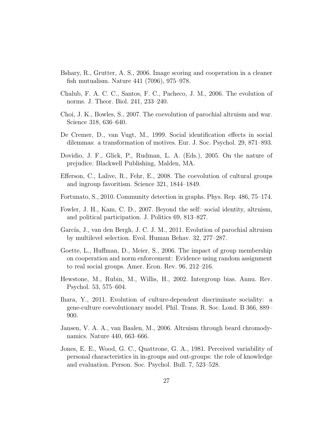- <span id="page-26-0"></span>Bshary, R., Grutter, A. S., 2006. Image scoring and cooperation in a cleaner fish mutualism. Nature 441 (7096), 975–978.
- <span id="page-26-13"></span>Chalub, F. A. C. C., Santos, F. C., Pacheco, J. M., 2006. The evolution of norms. J. Theor. Biol. 241, 233–240.
- <span id="page-26-9"></span>Choi, J. K., Bowles, S., 2007. The coevolution of parochial altruism and war. Science 318, 636–640.
- <span id="page-26-5"></span>De Cremer, D., van Vugt, M., 1999. Social identification effects in social dilemmas: a transformation of motives. Eur. J. Soc. Psychol. 29, 871–893.
- <span id="page-26-1"></span>Dovidio, J. F., Glick, P., Rudman, L. A. (Eds.), 2005. On the nature of prejudice. Blackwell Publishing, Malden, MA.
- <span id="page-26-4"></span>Efferson, C., Lalive, R., Fehr, E., 2008. The coevolution of cultural groups and ingroup favoritism. Science 321, 1844–1849.
- <span id="page-26-2"></span>Fortunato, S., 2010. Community detection in graphs. Phys. Rep. 486, 75–174.
- <span id="page-26-7"></span>Fowler, J. H., Kam, C. D., 2007. Beyond the self: social identity, altruism, and political participation. J. Politics 69, 813–827.
- <span id="page-26-10"></span>García, J., van den Bergh, J. C. J. M., 2011. Evolution of parochial altruism by multilevel selection. Evol. Human Behav. 32, 277–287.
- <span id="page-26-6"></span>Goette, L., Huffman, D., Meier, S., 2006. The impact of group membership on cooperation and norm enforcement: Evidence using random assignment to real social groups. Amer. Econ. Rev. 96, 212–216.
- <span id="page-26-3"></span>Hewstone, M., Rubin, M., Willis, H., 2002. Intergroup bias. Annu. Rev. Psychol. 53, 575–604.
- <span id="page-26-11"></span>Ihara, Y., 2011. Evolution of culture-dependent discriminate sociality: a gene-culture coevolutionary model. Phil. Trans. R. Soc. Lond. B 366, 889– 900.
- <span id="page-26-8"></span>Jansen, V. A. A., van Baalen, M., 2006. Altruism through beard chromodynamics. Nature 440, 663–666.
- <span id="page-26-12"></span>Jones, E. E., Wood, G. C., Quattrone, G. A., 1981. Perceived variability of personal characteristics in in-groups and out-groups: the role of knowledge and evaluation. Person. Soc. Psychol. Bull. 7, 523–528.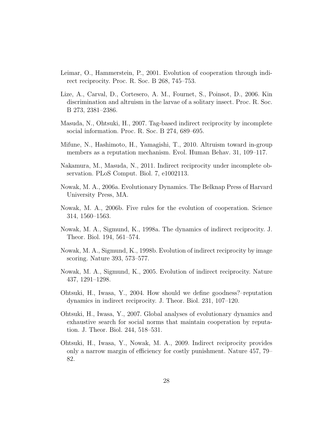- <span id="page-27-2"></span>Leimar, O., Hammerstein, P., 2001. Evolution of cooperation through indirect reciprocity. Proc. R. Soc. B 268, 745–753.
- <span id="page-27-6"></span>Lize, A., Carval, D., Cortesero, A. M., Fournet, S., Poinsot, D., 2006. Kin discrimination and altruism in the larvae of a solitary insect. Proc. R. Soc. B 273, 2381–2386.
- <span id="page-27-7"></span>Masuda, N., Ohtsuki, H., 2007. Tag-based indirect reciprocity by incomplete social information. Proc. R. Soc. B 274, 689–695.
- <span id="page-27-11"></span>Mifune, N., Hashimoto, H., Yamagishi, T., 2010. Altruism toward in-group members as a reputation mechanism. Evol. Human Behav. 31, 109–117.
- <span id="page-27-9"></span>Nakamura, M., Masuda, N., 2011. Indirect reciprocity under incomplete observation. PLoS Comput. Biol. 7, e1002113.
- <span id="page-27-0"></span>Nowak, M. A., 2006a. Evolutionary Dynamics. The Belknap Press of Harvard University Press, MA.
- <span id="page-27-10"></span>Nowak, M. A., 2006b. Five rules for the evolution of cooperation. Science 314, 1560–1563.
- <span id="page-27-1"></span>Nowak, M. A., Sigmund, K., 1998a. The dynamics of indirect reciprocity. J. Theor. Biol. 194, 561–574.
- <span id="page-27-8"></span>Nowak, M. A., Sigmund, K., 1998b. Evolution of indirect reciprocity by image scoring. Nature 393, 573–577.
- <span id="page-27-5"></span>Nowak, M. A., Sigmund, K., 2005. Evolution of indirect reciprocity. Nature 437, 1291–1298.
- <span id="page-27-3"></span>Ohtsuki, H., Iwasa, Y., 2004. How should we define goodness?–reputation dynamics in indirect reciprocity. J. Theor. Biol. 231, 107–120.
- <span id="page-27-4"></span>Ohtsuki, H., Iwasa, Y., 2007. Global analyses of evolutionary dynamics and exhaustive search for social norms that maintain cooperation by reputation. J. Theor. Biol. 244, 518–531.
- <span id="page-27-12"></span>Ohtsuki, H., Iwasa, Y., Nowak, M. A., 2009. Indirect reciprocity provides only a narrow margin of efficiency for costly punishment. Nature 457, 79– 82.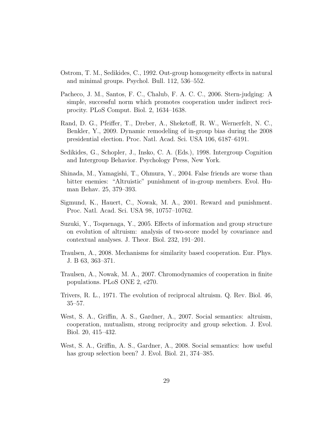- <span id="page-28-5"></span>Ostrom, T. M., Sedikides, C., 1992. Out-group homogeneity effects in natural and minimal groups. Psychol. Bull. 112, 536–552.
- <span id="page-28-9"></span>Pacheco, J. M., Santos, F. C., Chalub, F. A. C. C., 2006. Stern-judging: A simple, successful norm which promotes cooperation under indirect reciprocity. PLoS Comput. Biol. 2, 1634–1638.
- <span id="page-28-2"></span>Rand, D. G., Pfeiffer, T., Dreber, A., Sheketoff, R. W., Wernerfelt, N. C., Benkler, Y., 2009. Dynamic remodeling of in-group bias during the 2008 presidential election. Proc. Natl. Acad. Sci. USA 106, 6187–6191.
- <span id="page-28-1"></span>Sedikides, G., Schopler, J., Insko, C. A. (Eds.), 1998. Intergroup Cognition and Intergroup Behavior. Psychology Press, New York.
- <span id="page-28-10"></span>Shinada, M., Yamagishi, T., Ohmura, Y., 2004. False friends are worse than bitter enemies: "Altruistic" punishment of in-group members. Evol. Human Behav. 25, 379–393.
- <span id="page-28-11"></span>Sigmund, K., Hauert, C., Nowak, M. A., 2001. Reward and punishment. Proc. Natl. Acad. Sci. USA 98, 10757–10762.
- <span id="page-28-6"></span>Suzuki, Y., Toquenaga, Y., 2005. Effects of information and group structure on evolution of altruism: analysis of two-score model by covariance and contextual analyses. J. Theor. Biol. 232, 191–201.
- <span id="page-28-4"></span>Traulsen, A., 2008. Mechanisms for similarity based cooperation. Eur. Phys. J. B 63, 363–371.
- <span id="page-28-3"></span>Traulsen, A., Nowak, M. A., 2007. Chromodynamics of cooperation in finite populations. PLoS ONE 2, e270.
- <span id="page-28-0"></span>Trivers, R. L., 1971. The evolution of reciprocal altruism. Q. Rev. Biol. 46, 35–57.
- <span id="page-28-7"></span>West, S. A., Griffin, A. S., Gardner, A., 2007. Social semantics: altruism, cooperation, mutualism, strong reciprocity and group selection. J. Evol. Biol. 20, 415–432.
- <span id="page-28-8"></span>West, S. A., Griffin, A. S., Gardner, A., 2008. Social semantics: how useful has group selection been? J. Evol. Biol. 21, 374–385.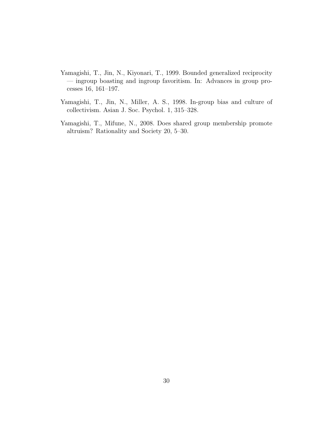- <span id="page-29-1"></span>Yamagishi, T., Jin, N., Kiyonari, T., 1999. Bounded generalized reciprocity — ingroup boasting and ingroup favoritism. In: Advances in group processes 16, 161–197.
- <span id="page-29-0"></span>Yamagishi, T., Jin, N., Miller, A. S., 1998. In-group bias and culture of collectivism. Asian J. Soc. Psychol. 1, 315–328.
- <span id="page-29-2"></span>Yamagishi, T., Mifune, N., 2008. Does shared group membership promote altruism? Rationality and Society 20, 5–30.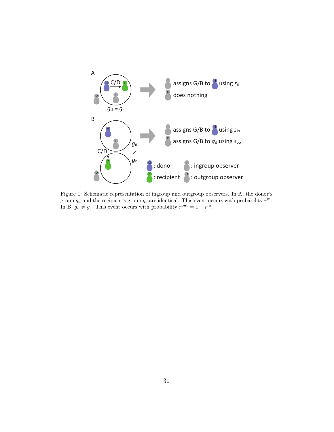

<span id="page-30-0"></span>Figure 1: Schematic representation of ingroup and outgroup observers. In A, the donor's group  $g_d$  and the recipient's group  $g_r$  are identical. This event occurs with probability  $r^{\text{in}}$ . In B,  $g_d \neq g_r$ . This event occurs with probability  $r^{\text{out}} = 1 - r^{\text{in}}$ .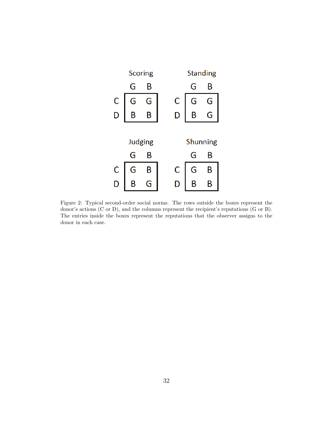

<span id="page-31-0"></span>Figure 2: Typical second-order social norms. The rows outside the boxes represent the donor's actions (C or D), and the columns represent the recipient's reputations (G or B). The entries inside the boxes represent the reputations that the observer assigns to the donor in each case.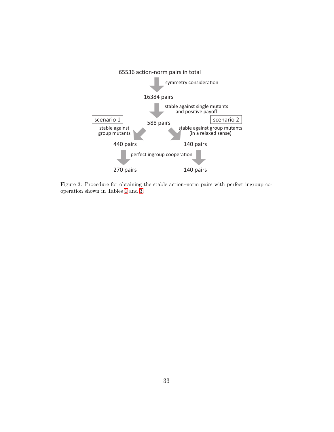

<span id="page-32-0"></span>Figure 3: Procedure for obtaining the stable action–norm pairs with perfect ingroup cooperation shown in Tables [1](#page-33-0) and [3.](#page-35-0)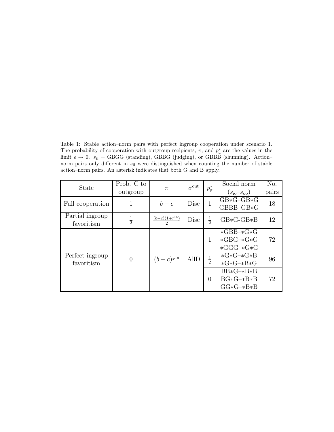<span id="page-33-0"></span>Table 1: Stable action–norm pairs with perfect ingroup cooperation under scenario 1. The probability of cooperation with outgroup recipients,  $\pi$ , and  $p_{g}^{*}$  are the values in the limit  $\epsilon \to 0$ .  $s_{ii} = GBGG$  (standing), GBBG (judging), or GBBB (shunning). Action– norm pairs only different in  $s_{ii}$  were distinguished when counting the number of stable action–norm pairs. An asterisk indicates that both G and B apply.

| <b>State</b>                  | Prob. C to    |                                    | $\sigma^{\text{out}}$ | $p_{\rm g}^*$ | Social norm                 | N <sub>o</sub> . |
|-------------------------------|---------------|------------------------------------|-----------------------|---------------|-----------------------------|------------------|
|                               | outgroup      | $\pi$                              |                       |               | $(s_{\rm io} - s_{\rm oo})$ | pairs            |
| Full cooperation              | 1             | $b-c$                              | Disc                  | 1             | $GB*G-GB*G$                 | 18               |
|                               |               |                                    |                       |               | $GBBB-GB*G$                 |                  |
| Partial ingroup               | $\frac{1}{2}$ | $\frac{(b-c)(1+r^{\text{in}})}{2}$ | Disc                  | $\frac{1}{2}$ | $GB*G-GB*B$                 | 12               |
| favoritism                    |               |                                    |                       |               |                             |                  |
| Perfect ingroup<br>favoritism | $\theta$      | $(b-c)r^{\text{in}}$               | <b>AllD</b>           | 1             | $*GBB-*G*G$                 |                  |
|                               |               |                                    |                       |               | $*GBG-*G*G$                 | 72               |
|                               |               |                                    |                       |               | $*GGG-*G*G$                 |                  |
|                               |               |                                    |                       | $\frac{1}{2}$ | $*G*G-*G*B$                 | 96               |
|                               |               |                                    |                       |               | $*G*G-*B*G$                 |                  |
|                               |               |                                    |                       | $\theta$      | $BB*G-*B*B$                 |                  |
|                               |               |                                    |                       |               | $BG*G-*B*B$                 | 72               |
|                               |               |                                    |                       |               | $GG*G-*B*B$                 |                  |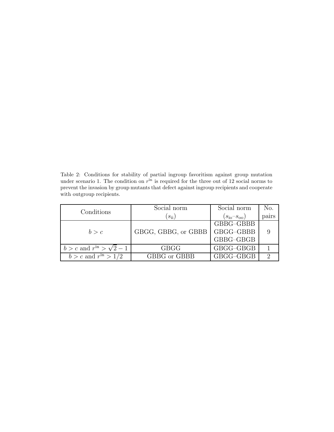<span id="page-34-0"></span>Table 2: Conditions for stability of partial ingroup favoritism against group mutation under scenario 1. The condition on  $r<sup>in</sup>$  is required for the three out of 12 social norms to prevent the invasion by group mutants that defect against ingroup recipients and cooperate with outgroup recipients.

| Conditions                       | Social norm         | Social norm                 | No.   |
|----------------------------------|---------------------|-----------------------------|-------|
|                                  | $(s_{ii})$          | $(s_{\rm io} - s_{\rm oo})$ | pairs |
|                                  |                     | GBBG-GBBB                   |       |
| b > c                            | GBGG, GBBG, or GBBB | GBGG-GBBB                   |       |
|                                  |                     | GBBG-GBGB                   |       |
| $b > c$ and $rin > \sqrt{2} - 1$ | <b>GBGG</b>         | GBGG-GBGB                   |       |
| $b > c$ and $rin > 1/2$          | GBBG or GBBB        | GBGG-GBGB                   |       |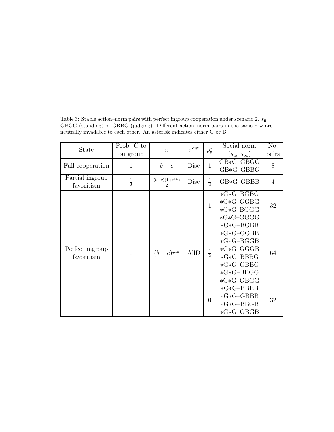| State                         | Prob. C to<br>outgroup | $\pi$                              | $\sigma^{\text{out}}$ | $p_{\rm g}^*$  | Social norm<br>$(s_{\rm io} - s_{\rm oo})$                                                                                     | No.<br>pairs   |
|-------------------------------|------------------------|------------------------------------|-----------------------|----------------|--------------------------------------------------------------------------------------------------------------------------------|----------------|
| Full cooperation              | 1                      | $b-c$                              | Disc                  | $\mathbf{1}$   | $GB*G-GBGG$<br>$GB*G-GBBG$                                                                                                     | 8              |
| Partial ingroup<br>favoritism | $\frac{1}{2}$          | $\frac{(b-c)(1+r^{\text{in}})}{2}$ | Disc                  | $\frac{1}{2}$  | $GB*G-GBBB$                                                                                                                    | $\overline{4}$ |
| Perfect ingroup<br>favoritism | $\overline{0}$         | $(b-c)r^{\text{in}}$               | <b>AllD</b>           | $\mathbf 1$    | $*G*G-BGBG$<br>$*G * G - GGBG$<br>$*G*G-BGG$<br>$*G * G-GGGG$                                                                  | 32             |
|                               |                        |                                    |                       | $\frac{1}{2}$  | $*G*G-BGBB$<br>$*G * G - GGBB$<br>$*G*G-BGGB$<br>$*G * G-GGGB$<br>$*G*G-BBBG$<br>$*G*G-GBBG$<br>$*G*G-BBGG$<br>$*G * G - GBGG$ | 64             |
|                               |                        |                                    |                       | $\overline{0}$ | $*G*G-BBBB$<br>$*G*G-GBBB$<br>$*G*G-BBGB$<br>$*G * G - GBGB$                                                                   | 32             |

<span id="page-35-0"></span>Table 3: Stable action–norm pairs with perfect ingroup cooperation under scenario 2.  $s_{ii} =$ GBGG (standing) or GBBG (judging). Different action–norm pairs in the same row are neutrally invadable to each other. An asterisk indicates either G or B.